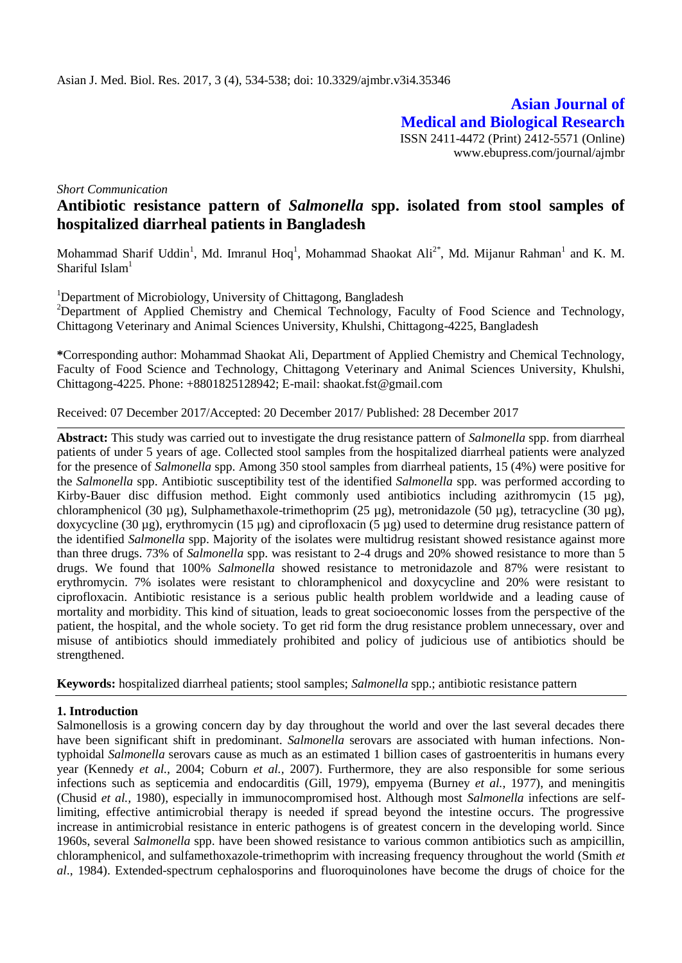**Asian Journal of Medical and Biological Research** ISSN 2411-4472 (Print) 2412-5571 (Online) www.ebupress.com/journal/ajmbr

*Short Communication*

# **Antibiotic resistance pattern of** *Salmonella* **spp. isolated from stool samples of hospitalized diarrheal patients in Bangladesh**

Mohammad Sharif Uddin<sup>1</sup>, Md. Imranul Hoq<sup>1</sup>, Mohammad Shaokat Ali<sup>2\*</sup>, Md. Mijanur Rahman<sup>1</sup> and K. M. Shariful Islam<sup>1</sup>

<sup>1</sup>Department of Microbiology, University of Chittagong, Bangladesh

<sup>2</sup>Department of Applied Chemistry and Chemical Technology, Faculty of Food Science and Technology, Chittagong Veterinary and Animal Sciences University, Khulshi, Chittagong-4225, Bangladesh

**\***Corresponding author: Mohammad Shaokat Ali, Department of Applied Chemistry and Chemical Technology, Faculty of Food Science and Technology, Chittagong Veterinary and Animal Sciences University, Khulshi, Chittagong-4225. Phone: +8801825128942; E-mail: [shaokat.fst@gmail.com](mailto:shaokat.fst@gmail.com)

Received: 07 December 2017/Accepted: 20 December 2017/ Published: 28 December 2017

**Abstract:** This study was carried out to investigate the drug resistance pattern of *Salmonella* spp. from diarrheal patients of under 5 years of age. Collected stool samples from the hospitalized diarrheal patients were analyzed for the presence of *Salmonella* spp. Among 350 stool samples from diarrheal patients, 15 (4%) were positive for the *Salmonella* spp. Antibiotic susceptibility test of the identified *Salmonella* spp. was performed according to Kirby-Bauer disc diffusion method. Eight commonly used antibiotics including azithromycin (15 µg), chloramphenicol (30 µg), Sulphamethaxole-trimethoprim (25 µg), metronidazole (50 µg), tetracycline (30 µg), doxycycline (30 µg), erythromycin (15 µg) and ciprofloxacin (5 µg) used to determine drug resistance pattern of the identified *Salmonella* spp. Majority of the isolates were multidrug resistant showed resistance against more than three drugs. 73% of *Salmonella* spp. was resistant to 2-4 drugs and 20% showed resistance to more than 5 drugs. We found that 100% *Salmonella* showed resistance to metronidazole and 87% were resistant to erythromycin. 7% isolates were resistant to chloramphenicol and doxycycline and 20% were resistant to ciprofloxacin. Antibiotic resistance is a serious public health problem worldwide and a leading cause of mortality and morbidity. This kind of situation, leads to great socioeconomic losses from the perspective of the patient, the hospital, and the whole society. To get rid form the drug resistance problem unnecessary, over and misuse of antibiotics should immediately prohibited and policy of judicious use of antibiotics should be strengthened.

**Keywords:** hospitalized diarrheal patients; stool samples; *Salmonella* spp.; antibiotic resistance pattern

# **1. Introduction**

Salmonellosis is a growing concern day by day throughout the world and over the last several decades there have been significant shift in predominant. *Salmonella* serovars are associated with human infections. Nontyphoidal *Salmonella* serovars cause as much as an estimated 1 billion cases of gastroenteritis in humans every year (Kennedy *et al.,* 2004; Coburn *et al.,* 2007). Furthermore, they are also responsible for some serious infections such as septicemia and endocarditis (Gill, 1979), empyema (Burney *et al.,* 1977), and meningitis (Chusid *et al.,* 1980), especially in immunocompromised host. Although most *Salmonella* infections are selflimiting, effective antimicrobial therapy is needed if spread beyond the intestine occurs. The progressive increase in antimicrobial resistance in enteric pathogens is of greatest concern in the developing world. Since 1960s, several *Salmonella* spp. have been showed resistance to various common antibiotics such as ampicillin, chloramphenicol, and sulfamethoxazole-trimethoprim with increasing frequency throughout the world (Smith *et al*., 1984). Extended-spectrum cephalosporins and fluoroquinolones have become the drugs of choice for the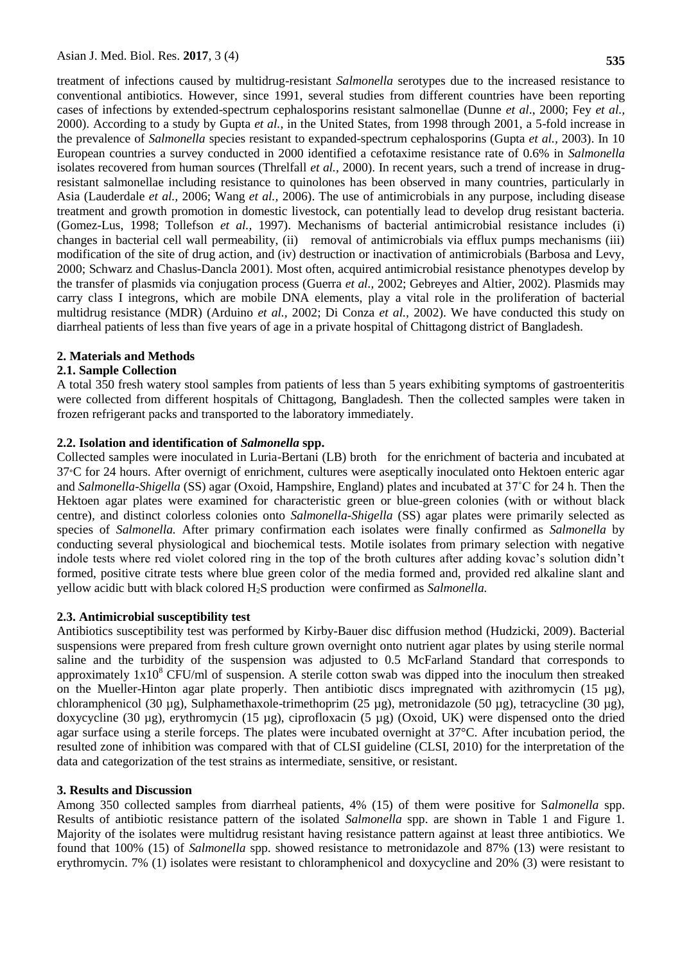treatment of infections caused by multidrug-resistant *Salmonella* serotypes due to the increased resistance to conventional antibiotics. However, since 1991, several studies from different countries have been reporting cases of infections by extended-spectrum cephalosporins resistant salmonellae (Dunne *et al*., 2000; Fey *et al.,* 2000). According to a study by Gupta *et al.,* in the United States, from 1998 through 2001, a 5-fold increase in the prevalence of *Salmonella* species resistant to expanded-spectrum cephalosporins (Gupta *et al.,* 2003). In 10 European countries a survey conducted in 2000 identified a cefotaxime resistance rate of 0.6% in *Salmonella*  isolates recovered from human sources (Threlfall *et al.,* 2000). In recent years, such a trend of increase in drugresistant salmonellae including resistance to quinolones has been observed in many countries, particularly in Asia (Lauderdale *et al.,* 2006; Wang *et al.,* 2006). The use of antimicrobials in any purpose, including disease treatment and growth promotion in domestic livestock, can potentially lead to develop drug resistant bacteria. (Gomez-Lus, 1998; Tollefson *et al.,* 1997). Mechanisms of bacterial antimicrobial resistance includes (i) changes in bacterial cell wall permeability, (ii) removal of antimicrobials via efflux pumps mechanisms (iii) modification of the site of drug action, and (iv) destruction or inactivation of antimicrobials (Barbosa and Levy, 2000; Schwarz and Chaslus-Dancla 2001). Most often, acquired antimicrobial resistance phenotypes develop by the transfer of plasmids via conjugation process (Guerra *et al.,* 2002; Gebreyes and Altier, 2002). Plasmids may carry class I integrons, which are mobile DNA elements, play a vital role in the proliferation of bacterial multidrug resistance (MDR) (Arduino *et al.,* 2002; Di Conza *et al.,* 2002). We have conducted this study on diarrheal patients of less than five years of age in a private hospital of Chittagong district of Bangladesh.

# **2. Materials and Methods**

# **2.1. Sample Collection**

A total 350 fresh watery stool samples from patients of less than 5 years exhibiting symptoms of gastroenteritis were collected from different hospitals of Chittagong, Bangladesh. Then the collected samples were taken in frozen refrigerant packs and transported to the laboratory immediately.

## **2.2. Isolation and identification of** *Salmonella* **spp.**

Collected samples were inoculated in Luria-Bertani (LB) broth for the enrichment of bacteria and incubated at 37∘C for 24 hours. After overnigt of enrichment, cultures were aseptically inoculated onto Hektoen enteric agar and *Salmonella-Shigella* (SS) agar (Oxoid, Hampshire, England) plates and incubated at 37˚C for 24 h. Then the Hektoen agar plates were examined for characteristic green or blue-green colonies (with or without black centre)*,* and distinct colorless colonies onto *Salmonella-Shigella* (SS) agar plates were primarily selected as species of *Salmonella.* After primary confirmation each isolates were finally confirmed as *Salmonella* by conducting several physiological and biochemical tests. Motile isolates from primary selection with negative indole tests where red violet colored ring in the top of the broth cultures after adding kovac's solution didn't formed, positive citrate tests where blue green color of the media formed and, provided red alkaline slant and yellow acidic butt with black colored H2S production were confirmed as *Salmonella.*

## **2.3. Antimicrobial susceptibility test**

Antibiotics susceptibility test was performed by Kirby-Bauer disc diffusion method (Hudzicki, 2009). Bacterial suspensions were prepared from fresh culture grown overnight onto nutrient agar plates by using sterile normal saline and the turbidity of the suspension was adjusted to 0.5 McFarland Standard that corresponds to approximately  $1x10^8$  CFU/ml of suspension. A sterile cotton swab was dipped into the inoculum then streaked on the Mueller-Hinton agar plate properly. Then antibiotic discs impregnated with azithromycin (15  $\mu$ g), chloramphenicol (30 µg), Sulphamethaxole-trimethoprim (25 µg), metronidazole (50 µg), tetracycline (30 µg), doxycycline (30 µg), erythromycin (15 µg), ciprofloxacin (5 µg) (Oxoid, UK) were dispensed onto the dried agar surface using a sterile forceps. The plates were incubated overnight at 37°C. After incubation period, the resulted zone of inhibition was compared with that of CLSI guideline (CLSI, 2010) for the interpretation of the data and categorization of the test strains as intermediate, sensitive, or resistant.

#### **3. Results and Discussion**

Among 350 collected samples from diarrheal patients, 4% (15) of them were positive for S*almonella* spp. Results of antibiotic resistance pattern of the isolated *Salmonella* spp. are shown in Table 1 and Figure 1. Majority of the isolates were multidrug resistant having resistance pattern against at least three antibiotics. We found that 100% (15) of *Salmonella* spp. showed resistance to metronidazole and 87% (13) were resistant to erythromycin. 7% (1) isolates were resistant to chloramphenicol and doxycycline and 20% (3) were resistant to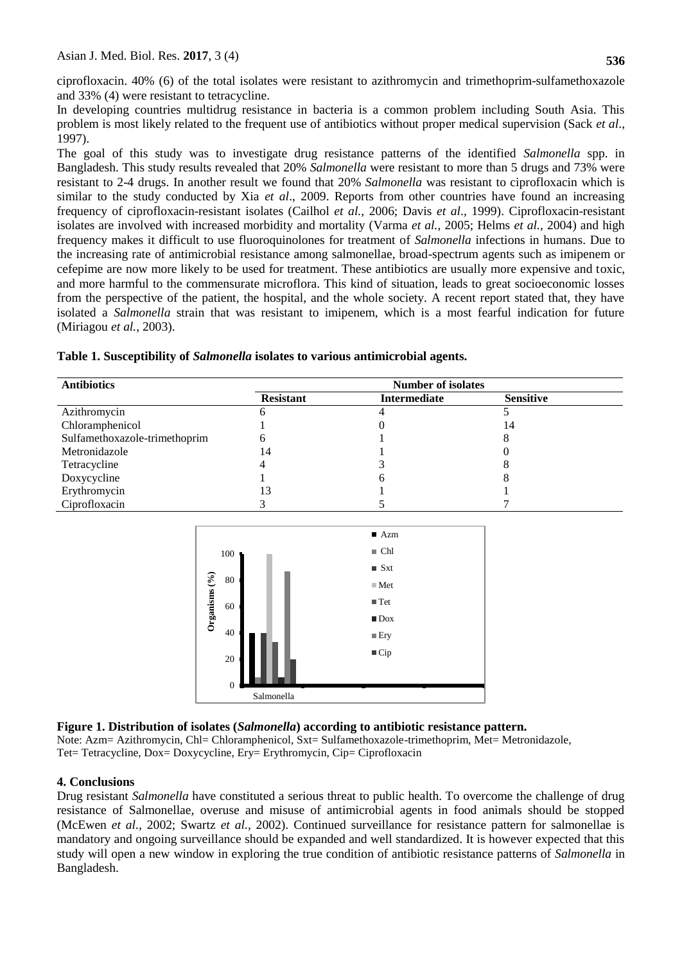ciprofloxacin. 40% (6) of the total isolates were resistant to azithromycin and trimethoprim-sulfamethoxazole and 33% (4) were resistant to tetracycline.

In developing countries multidrug resistance in bacteria is a common problem including South Asia. This problem is most likely related to the frequent use of antibiotics without proper medical supervision (Sack *et al*., 1997).

The goal of this study was to investigate drug resistance patterns of the identified *Salmonella* spp. in Bangladesh. This study results revealed that 20% *Salmonella* were resistant to more than 5 drugs and 73% were resistant to 2-4 drugs. In another result we found that 20% *Salmonella* was resistant to ciprofloxacin which is similar to the study conducted by Xia *et al*., 2009. Reports from other countries have found an increasing frequency of ciprofloxacin-resistant isolates (Cailhol *et al.,* 2006; Davis *et al*., 1999). Ciprofloxacin-resistant isolates are involved with increased morbidity and mortality (Varma *et al.,* 2005; Helms *et al.,* 2004) and high frequency makes it difficult to use fluoroquinolones for treatment of *Salmonella* infections in humans. Due to the increasing rate of antimicrobial resistance among salmonellae, broad-spectrum agents such as imipenem or cefepime are now more likely to be used for treatment. These antibiotics are usually more expensive and toxic, and more harmful to the commensurate microflora. This kind of situation, leads to great socioeconomic losses from the perspective of the patient, the hospital, and the whole society. A recent report stated that, they have isolated a *Salmonella* strain that was resistant to imipenem, which is a most fearful indication for future (Miriagou *et al.*, 2003).

|  |  |  | Table 1. Susceptibility of Salmonella isolates to various antimicrobial agents. |
|--|--|--|---------------------------------------------------------------------------------|
|--|--|--|---------------------------------------------------------------------------------|

| <b>Antibiotics</b>            | <b>Number of isolates</b> |              |                  |  |
|-------------------------------|---------------------------|--------------|------------------|--|
|                               | <b>Resistant</b>          | Intermediate | <b>Sensitive</b> |  |
| Azithromycin                  |                           |              |                  |  |
| Chloramphenicol               |                           |              | 14               |  |
| Sulfamethoxazole-trimethoprim |                           |              |                  |  |
| Metronidazole                 | 14                        |              |                  |  |
| Tetracycline                  |                           |              |                  |  |
| Doxycycline                   |                           |              |                  |  |
| Erythromycin                  | 13                        |              |                  |  |
| Ciprofloxacin                 |                           |              |                  |  |



# **Figure 1. Distribution of isolates (***Salmonella***) according to antibiotic resistance pattern.**

Note: Azm= Azithromycin, Chl= Chloramphenicol, Sxt= Sulfamethoxazole-trimethoprim, Met= Metronidazole, Tet= Tetracycline, Dox= Doxycycline, Ery= Erythromycin, Cip= Ciprofloxacin

# **4. Conclusions**

Drug resistant *Salmonella* have constituted a serious threat to public health. To overcome the challenge of drug resistance of Salmonellae, overuse and misuse of antimicrobial agents in food animals should be stopped (McEwen *et al.,* 2002; Swartz *et al.,* 2002). Continued surveillance for resistance pattern for salmonellae is mandatory and ongoing surveillance should be expanded and well standardized. It is however expected that this study will open a new window in exploring the true condition of antibiotic resistance patterns of *Salmonella* in Bangladesh.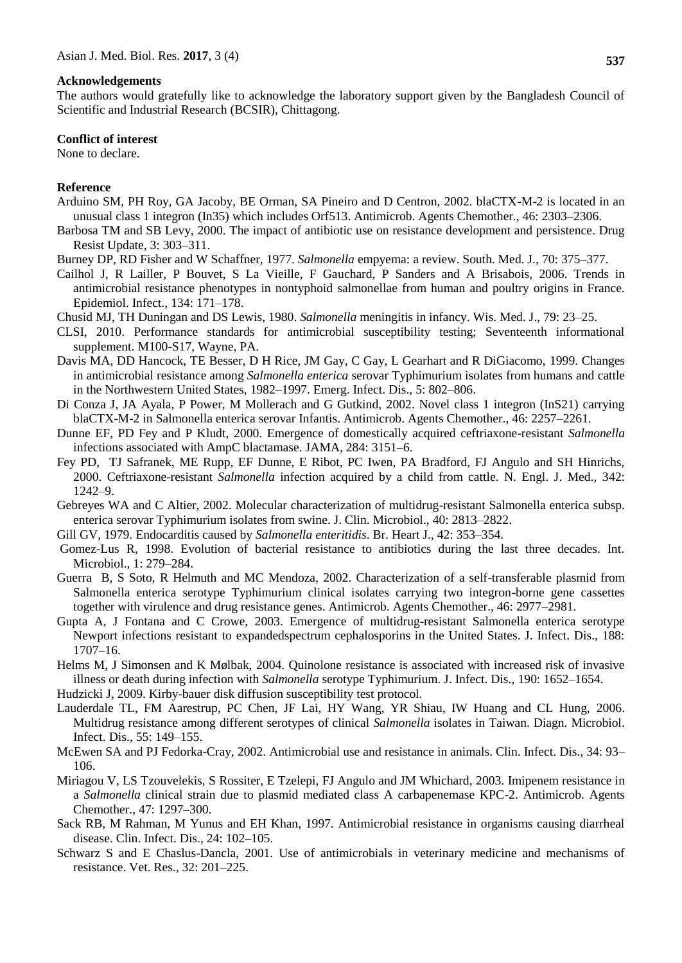#### **Acknowledgements**

The authors would gratefully like to acknowledge the laboratory support given by the Bangladesh Council of Scientific and Industrial Research (BCSIR), Chittagong.

#### **Conflict of interest**

None to declare.

#### **Reference**

- Arduino SM, PH Roy, GA Jacoby, BE Orman, SA Pineiro and D Centron, 2002. blaCTX-M-2 is located in an unusual class 1 integron (In35) which includes Orf513. Antimicrob. Agents Chemother., 46: 2303–2306.
- Barbosa TM and SB Levy, 2000. The impact of antibiotic use on resistance development and persistence. Drug Resist Update, 3: 303–311.
- Burney DP, RD Fisher and W Schaffner, 1977. *Salmonella* empyema: a review. South. Med. J., 70: 375–377.
- Cailhol J, R Lailler, P Bouvet, S La Vieille, F Gauchard, P Sanders and A Brisabois, 2006. Trends in antimicrobial resistance phenotypes in nontyphoid salmonellae from human and poultry origins in France. Epidemiol. Infect., 134: 171–178.
- Chusid MJ, TH Duningan and DS Lewis, 1980. *Salmonella* meningitis in infancy. Wis. Med. J., 79: 23–25.
- CLSI, 2010. Performance standards for antimicrobial susceptibility testing; Seventeenth informational supplement. M100-S17, Wayne, PA.
- Davis MA, DD Hancock, TE Besser, D H Rice, JM Gay, C Gay, L Gearhart and R DiGiacomo, 1999. Changes in antimicrobial resistance among *Salmonella enterica* serovar Typhimurium isolates from humans and cattle in the Northwestern United States, 1982–1997. Emerg. Infect. Dis., 5: 802–806.
- Di Conza J, JA Ayala, P Power, M Mollerach and G Gutkind, 2002. Novel class 1 integron (InS21) carrying blaCTX-M-2 in Salmonella enterica serovar Infantis. Antimicrob. Agents Chemother., 46: 2257–2261.
- Dunne EF, PD Fey and P Kludt, 2000. Emergence of domestically acquired ceftriaxone-resistant *Salmonella*  infections associated with AmpC blactamase. JAMA, 284: 3151–6.
- Fey PD, TJ Safranek, ME Rupp, EF Dunne, E Ribot, PC Iwen, PA Bradford, FJ Angulo and SH Hinrichs, 2000. Ceftriaxone-resistant *Salmonella* infection acquired by a child from cattle. N. Engl. J. Med., 342: 1242–9.
- Gebreyes WA and C Altier, 2002. Molecular characterization of multidrug-resistant Salmonella enterica subsp. enterica serovar Typhimurium isolates from swine. J. Clin. Microbiol., 40: 2813–2822.
- Gill GV, 1979. Endocarditis caused by *Salmonella enteritidis*. Br. Heart J., 42: 353–354.
- Gomez-Lus R, 1998. Evolution of bacterial resistance to antibiotics during the last three decades. Int. Microbiol., 1: 279–284.
- Guerra B, S Soto, R Helmuth and MC Mendoza, 2002. Characterization of a self-transferable plasmid from Salmonella enterica serotype Typhimurium clinical isolates carrying two integron-borne gene cassettes together with virulence and drug resistance genes. Antimicrob. Agents Chemother., 46: 2977–2981.
- Gupta A, J Fontana and C Crowe, 2003. Emergence of multidrug-resistant Salmonella enterica serotype Newport infections resistant to expandedspectrum cephalosporins in the United States. J. Infect. Dis., 188: 1707–16.
- Helms M, J Simonsen and K Mølbak, 2004. Quinolone resistance is associated with increased risk of invasive illness or death during infection with *Salmonella* serotype Typhimurium. J. Infect. Dis., 190: 1652–1654.
- [Hudzicki](http://www.asmscience.org/search?value1=Jan+Hudzicki&option1=author&noRedirect=true) J, 2009. Kirby-bauer disk diffusion susceptibility test protocol.
- Lauderdale TL, FM Aarestrup, PC Chen, JF Lai, HY Wang, YR Shiau, IW Huang and CL Hung, 2006. Multidrug resistance among different serotypes of clinical *Salmonella* isolates in Taiwan. Diagn. Microbiol. Infect. Dis., 55: 149–155.
- McEwen SA and PJ Fedorka-Cray, 2002. Antimicrobial use and resistance in animals. Clin. Infect. Dis., 34: 93– 106.
- Miriagou V, LS Tzouvelekis, S Rossiter, E Tzelepi, FJ Angulo and JM Whichard, 2003. Imipenem resistance in a *Salmonella* clinical strain due to plasmid mediated class A carbapenemase KPC-2. Antimicrob. Agents Chemother., 47: 1297–300.
- Sack RB, M Rahman, M Yunus and EH Khan, 1997. Antimicrobial resistance in organisms causing diarrheal disease. Clin. Infect. Dis.*,* 24: 102–105.
- Schwarz S and E Chaslus-Dancla, 2001. Use of antimicrobials in veterinary medicine and mechanisms of resistance. Vet. Res., 32: 201–225.